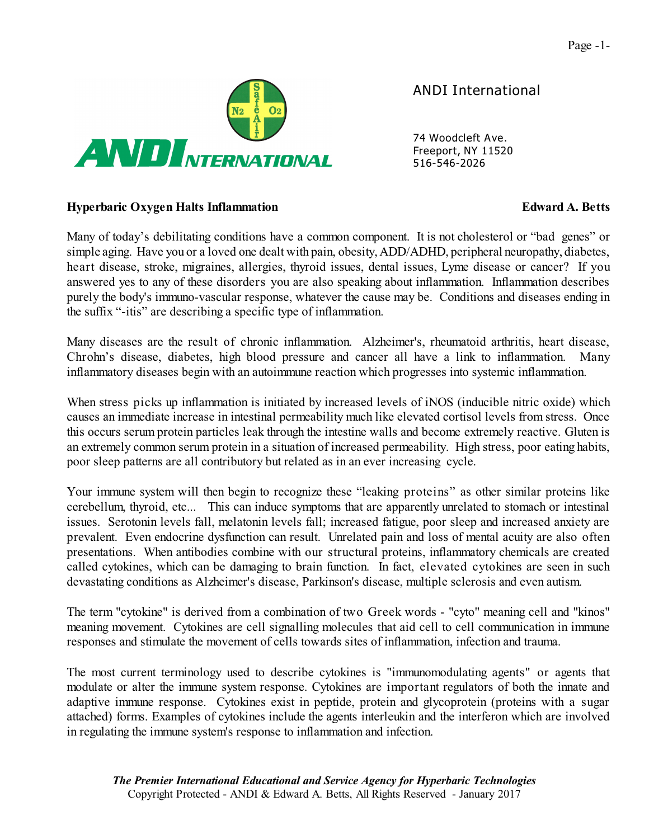

*ANDI International*

*74 Woodcleft Ave. Freeport, NY 11520 516-546-2026*

## **Hyperbaric Oxygen Halts Inflammation Edward A. Betts**

Many of today's debilitating conditions have a common component. It is not cholesterol or "bad genes" or simple aging. Have you or a loved one dealt with pain, obesity, ADD/ADHD, peripheral neuropathy, diabetes, heart disease, stroke, migraines, allergies, thyroid issues, dental issues, Lyme disease or cancer? If you answered yes to any of these disorders you are also speaking about inflammation. Inflammation describes purely the body's immuno-vascular response, whatever the cause may be. Conditions and diseases ending in the suffix "-itis" are describing a specific type of inflammation.

Many diseases are the result of chronic inflammation. Alzheimer's, rheumatoid arthritis, heart disease, Chrohn's disease, diabetes, high blood pressure and cancer all have a link to inflammation. Many inflammatory diseases begin with an autoimmune reaction which progresses into systemic inflammation.

When stress picks up inflammation is initiated by increased levels of iNOS (inducible nitric oxide) which causes an immediate increase in intestinal permeability much like elevated cortisol levels from stress. Once this occurs serum protein particles leak through the intestine walls and become extremely reactive. Gluten is an extremely common serum protein in a situation of increased permeability. High stress, poor eating habits, poor sleep patterns are all contributory but related as in an ever increasing cycle.

Your immune system will then begin to recognize these "leaking proteins" as other similar proteins like cerebellum, thyroid, etc... This can induce symptoms that are apparently unrelated to stomach or intestinal issues. Serotonin levels fall, melatonin levels fall; increased fatigue, poor sleep and increased anxiety are prevalent. Even endocrine dysfunction can result. Unrelated pain and loss of mental acuity are also often presentations. When antibodies combine with our structural proteins, inflammatory chemicals are created called cytokines, which can be damaging to brain function. In fact, elevated cytokines are seen in such devastating conditions as Alzheimer's disease, Parkinson's disease, multiple sclerosis and even autism.

The term "cytokine" is derived from a combination of two Greek words - "cyto" meaning cell and "kinos" meaning movement. Cytokines are cell signalling molecules that aid cell to cell communication in immune responses and stimulate the movement of cells towards sites of inflammation, infection and trauma.

The most current terminology used to describe cytokines is "immunomodulating agents" or agents that modulate or alter the immune system response. Cytokines are important regulators of both the innate and adaptive immune response. Cytokines exist in peptide, protein and glycoprotein (proteins with a sugar attached) forms. Examples of cytokines include the agents interleukin and the interferon which are involved in regulating the immune system's response to inflammation and infection.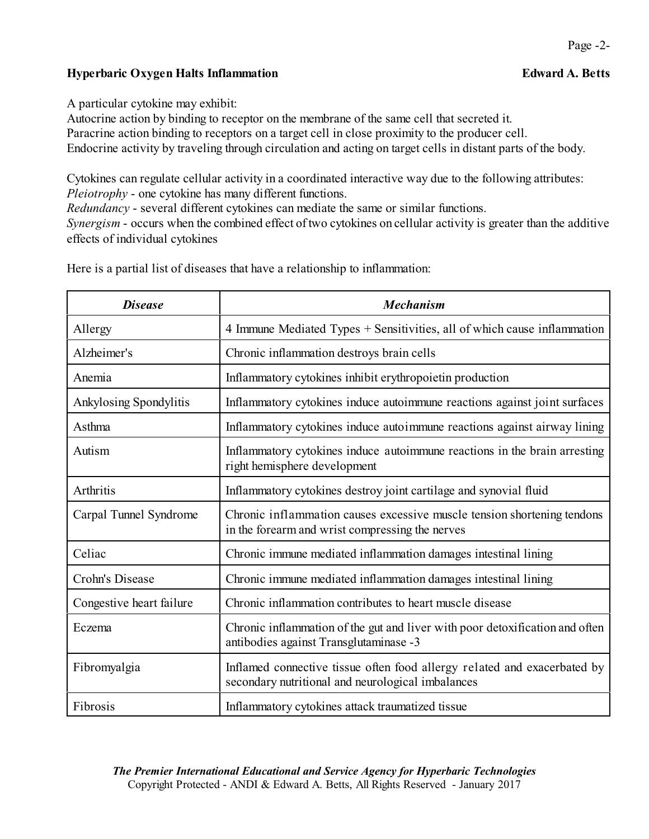# **Hyperbaric Oxygen Halts Inflammation Edward A. Betts**

A particular cytokine may exhibit:

Autocrine action by binding to receptor on the membrane of the same cell that secreted it. Paracrine action binding to receptors on a target cell in close proximity to the producer cell. Endocrine activity by traveling through circulation and acting on target cells in distant parts of the body.

Cytokines can regulate cellular activity in a coordinated interactive way due to the following attributes: *Pleiotrophy* - one cytokine has many different functions.

*Redundancy* - several different cytokines can mediate the same or similar functions.

*Synergism* - occurs when the combined effect of two cytokines on cellular activity is greater than the additive effects of individual cytokines

| <b>Disease</b>           | <b>Mechanism</b>                                                                                                              |
|--------------------------|-------------------------------------------------------------------------------------------------------------------------------|
| Allergy                  | 4 Immune Mediated Types + Sensitivities, all of which cause inflammation                                                      |
| Alzheimer's              | Chronic inflammation destroys brain cells                                                                                     |
| Anemia                   | Inflammatory cytokines inhibit erythropoietin production                                                                      |
| Ankylosing Spondylitis   | Inflammatory cytokines induce autoimmune reactions against joint surfaces                                                     |
| Asthma                   | Inflammatory cytokines induce autoimmune reactions against airway lining                                                      |
| Autism                   | Inflammatory cytokines induce autoimmune reactions in the brain arresting<br>right hemisphere development                     |
| Arthritis                | Inflammatory cytokines destroy joint cartilage and synovial fluid                                                             |
| Carpal Tunnel Syndrome   | Chronic inflammation causes excessive muscle tension shortening tendons<br>in the forearm and wrist compressing the nerves    |
| Celiac                   | Chronic immune mediated inflammation damages intestinal lining                                                                |
| Crohn's Disease          | Chronic immune mediated inflammation damages intestinal lining                                                                |
| Congestive heart failure | Chronic inflammation contributes to heart muscle disease                                                                      |
| Eczema                   | Chronic inflammation of the gut and liver with poor detoxification and often<br>antibodies against Transglutaminase -3        |
| Fibromyalgia             | Inflamed connective tissue often food allergy related and exacerbated by<br>secondary nutritional and neurological imbalances |
| Fibrosis                 | Inflammatory cytokines attack traumatized tissue                                                                              |

Here is a partial list of diseases that have a relationship to inflammation: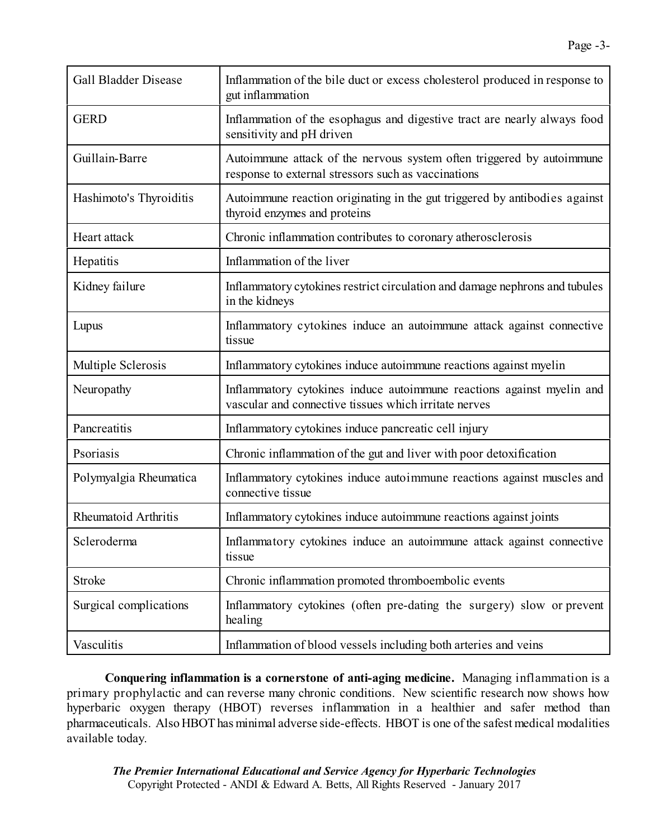| <b>Gall Bladder Disease</b> | Inflammation of the bile duct or excess cholesterol produced in response to<br>gut inflammation                                |
|-----------------------------|--------------------------------------------------------------------------------------------------------------------------------|
| <b>GERD</b>                 | Inflammation of the esophagus and digestive tract are nearly always food<br>sensitivity and pH driven                          |
| Guillain-Barre              | Autoimmune attack of the nervous system often triggered by autoimmune<br>response to external stressors such as vaccinations   |
| Hashimoto's Thyroiditis     | Autoimmune reaction originating in the gut triggered by antibodies against<br>thyroid enzymes and proteins                     |
| Heart attack                | Chronic inflammation contributes to coronary atherosclerosis                                                                   |
| Hepatitis                   | Inflammation of the liver                                                                                                      |
| Kidney failure              | Inflammatory cytokines restrict circulation and damage nephrons and tubules<br>in the kidneys                                  |
| Lupus                       | Inflammatory cytokines induce an autoimmune attack against connective<br>tissue                                                |
| Multiple Sclerosis          | Inflammatory cytokines induce autoimmune reactions against myelin                                                              |
| Neuropathy                  | Inflammatory cytokines induce autoimmune reactions against myelin and<br>vascular and connective tissues which irritate nerves |
| Pancreatitis                | Inflammatory cytokines induce pancreatic cell injury                                                                           |
| Psoriasis                   | Chronic inflammation of the gut and liver with poor detoxification                                                             |
| Polymyalgia Rheumatica      | Inflammatory cytokines induce autoimmune reactions against muscles and<br>connective tissue                                    |
| Rheumatoid Arthritis        | Inflammatory cytokines induce autoimmune reactions against joints                                                              |
| Scleroderma                 | Inflammatory cytokines induce an autoimmune attack against connective<br>tissue                                                |
| Stroke                      | Chronic inflammation promoted thromboembolic events                                                                            |
| Surgical complications      | Inflammatory cytokines (often pre-dating the surgery) slow or prevent<br>healing                                               |
| Vasculitis                  | Inflammation of blood vessels including both arteries and veins                                                                |

**Conquering inflammation is a cornerstone of anti-aging medicine.** Managing inflammation is a primary prophylactic and can reverse many chronic conditions. New scientific research now shows how hyperbaric oxygen therapy (HBOT) reverses inflammation in a healthier and safer method than pharmaceuticals. Also HBOT has minimal adverse side-effects. HBOT is one of the safest medical modalities available today.

*The Premier International Educational and Service Agency for Hyperbaric Technologies* Copyright Protected - ANDI & Edward A. Betts, All Rights Reserved - January 2017